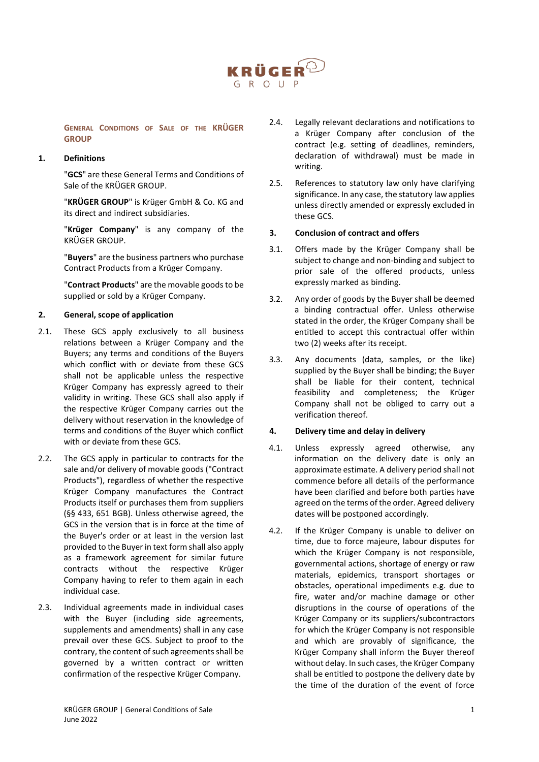

**GENERAL CONDITIONS OF SALE OF THE KRÜGER GROUP**

## **1. Definitions**

"**GCS**" are these General Terms and Conditions of Sale of the KRÜGER GROUP.

"**KRÜGER GROUP**" is Krüger GmbH & Co. KG and its direct and indirect subsidiaries.

"**Krüger Company**" is any company of the KRÜGER GROUP.

"**Buyers**" are the business partners who purchase Contract Products from a Krüger Company.

"**Contract Products**" are the movable goods to be supplied or sold by a Krüger Company.

## **2. General, scope of application**

- 2.1. These GCS apply exclusively to all business relations between a Krüger Company and the Buyers; any terms and conditions of the Buyers which conflict with or deviate from these GCS shall not be applicable unless the respective Krüger Company has expressly agreed to their validity in writing. These GCS shall also apply if the respective Krüger Company carries out the delivery without reservation in the knowledge of terms and conditions of the Buyer which conflict with or deviate from these GCS.
- 2.2. The GCS apply in particular to contracts for the sale and/or delivery of movable goods ("Contract Products"), regardless of whether the respective Krüger Company manufactures the Contract Products itself or purchases them from suppliers (§§ 433, 651 BGB). Unless otherwise agreed, the GCS in the version that is in force at the time of the Buyer's order or at least in the version last provided to the Buyer in text form shall also apply as a framework agreement for similar future contracts without the respective Krüger Company having to refer to them again in each individual case.
- 2.3. Individual agreements made in individual cases with the Buyer (including side agreements, supplements and amendments) shall in any case prevail over these GCS. Subject to proof to the contrary, the content of such agreements shall be governed by a written contract or written confirmation of the respective Krüger Company.
- 2.4. Legally relevant declarations and notifications to a Krüger Company after conclusion of the contract (e.g. setting of deadlines, reminders, declaration of withdrawal) must be made in writing.
- 2.5. References to statutory law only have clarifying significance. In any case, the statutory law applies unless directly amended or expressly excluded in these GCS.

# **3. Conclusion of contract and offers**

- 3.1. Offers made by the Krüger Company shall be subject to change and non-binding and subject to prior sale of the offered products, unless expressly marked as binding.
- 3.2. Any order of goods by the Buyer shall be deemed a binding contractual offer. Unless otherwise stated in the order, the Krüger Company shall be entitled to accept this contractual offer within two (2) weeks after its receipt.
- 3.3. Any documents (data, samples, or the like) supplied by the Buyer shall be binding; the Buyer shall be liable for their content, technical feasibility and completeness; the Krüger Company shall not be obliged to carry out a verification thereof.

## **4. Delivery time and delay in delivery**

- 4.1. Unless expressly agreed otherwise, any information on the delivery date is only an approximate estimate. A delivery period shall not commence before all details of the performance have been clarified and before both parties have agreed on the terms of the order. Agreed delivery dates will be postponed accordingly.
- 4.2. If the Krüger Company is unable to deliver on time, due to force majeure, labour disputes for which the Krüger Company is not responsible, governmental actions, shortage of energy or raw materials, epidemics, transport shortages or obstacles, operational impediments e.g. due to fire, water and/or machine damage or other disruptions in the course of operations of the Krüger Company or its suppliers/subcontractors for which the Krüger Company is not responsible and which are provably of significance, the Krüger Company shall inform the Buyer thereof without delay. In such cases, the Krüger Company shall be entitled to postpone the delivery date by the time of the duration of the event of force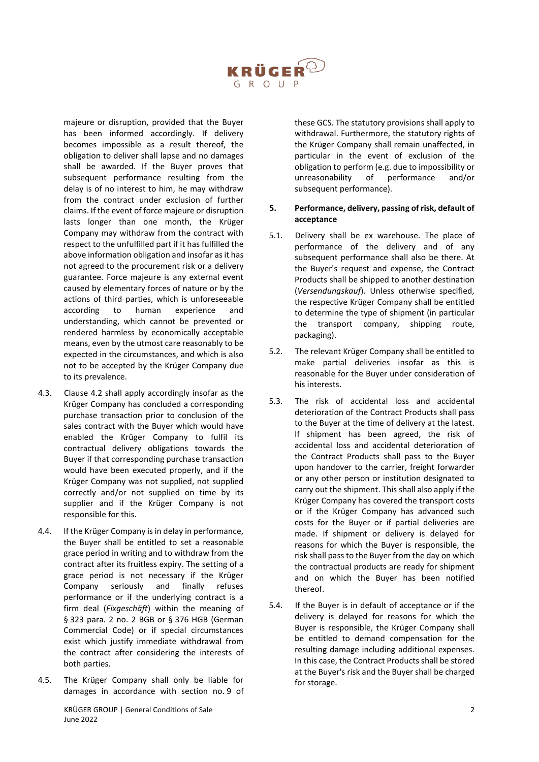

majeure or disruption, provided that the Buyer has been informed accordingly. If delivery becomes impossible as a result thereof, the obligation to deliver shall lapse and no damages shall be awarded. If the Buyer proves that subsequent performance resulting from the delay is of no interest to him, he may withdraw from the contract under exclusion of further claims. If the event of force majeure or disruption lasts longer than one month, the Krüger Company may withdraw from the contract with respect to the unfulfilled part if it has fulfilled the above information obligation and insofar as it has not agreed to the procurement risk or a delivery guarantee. Force majeure is any external event caused by elementary forces of nature or by the actions of third parties, which is unforeseeable according to human experience and understanding, which cannot be prevented or rendered harmless by economically acceptable means, even by the utmost care reasonably to be expected in the circumstances, and which is also not to be accepted by the Krüger Company due to its prevalence.

- 4.3. Clause 4.2 shall apply accordingly insofar as the Krüger Company has concluded a corresponding purchase transaction prior to conclusion of the sales contract with the Buyer which would have enabled the Krüger Company to fulfil its contractual delivery obligations towards the Buyer if that corresponding purchase transaction would have been executed properly, and if the Krüger Company was not supplied, not supplied correctly and/or not supplied on time by its supplier and if the Krüger Company is not responsible for this.
- 4.4. If the Krüger Company is in delay in performance, the Buyer shall be entitled to set a reasonable grace period in writing and to withdraw from the contract after its fruitless expiry. The setting of a grace period is not necessary if the Krüger Company seriously and finally refuses performance or if the underlying contract is a firm deal (*Fixgeschäft*) within the meaning of § 323 para. 2 no. 2 BGB or § 376 HGB (German Commercial Code) or if special circumstances exist which justify immediate withdrawal from the contract after considering the interests of both parties.
- 4.5. The Krüger Company shall only be liable for damages in accordance with section no. 9 of

these GCS. The statutory provisions shall apply to withdrawal. Furthermore, the statutory rights of the Krüger Company shall remain unaffected, in particular in the event of exclusion of the obligation to perform (e.g. due to impossibility or unreasonability of performance and/or subsequent performance).

## **5. Performance, delivery, passing of risk, default of acceptance**

- 5.1. Delivery shall be ex warehouse. The place of performance of the delivery and of any subsequent performance shall also be there. At the Buyer's request and expense, the Contract Products shall be shipped to another destination (*Versendungskauf*). Unless otherwise specified, the respective Krüger Company shall be entitled to determine the type of shipment (in particular the transport company, shipping route, packaging).
- 5.2. The relevant Krüger Company shall be entitled to make partial deliveries insofar as this is reasonable for the Buyer under consideration of his interests.
- 5.3. The risk of accidental loss and accidental deterioration of the Contract Products shall pass to the Buyer at the time of delivery at the latest. If shipment has been agreed, the risk of accidental loss and accidental deterioration of the Contract Products shall pass to the Buyer upon handover to the carrier, freight forwarder or any other person or institution designated to carry out the shipment. This shall also apply if the Krüger Company has covered the transport costs or if the Krüger Company has advanced such costs for the Buyer or if partial deliveries are made. If shipment or delivery is delayed for reasons for which the Buyer is responsible, the risk shall pass to the Buyer from the day on which the contractual products are ready for shipment and on which the Buyer has been notified thereof.
- 5.4. If the Buyer is in default of acceptance or if the delivery is delayed for reasons for which the Buyer is responsible, the Krüger Company shall be entitled to demand compensation for the resulting damage including additional expenses. In this case, the Contract Products shall be stored at the Buyer's risk and the Buyer shall be charged for storage.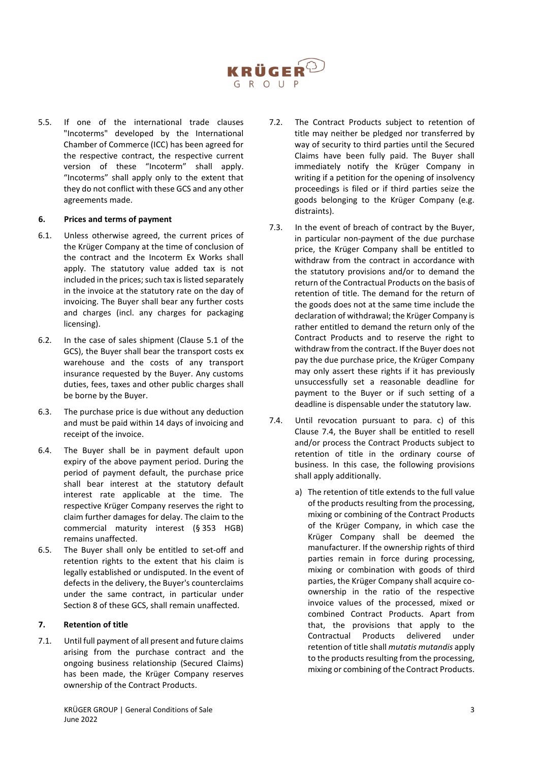

5.5. If one of the international trade clauses "Incoterms" developed by the International Chamber of Commerce (ICC) has been agreed for the respective contract, the respective current version of these "Incoterm" shall apply. "Incoterms" shall apply only to the extent that they do not conflict with these GCS and any other agreements made.

## **6. Prices and terms of payment**

- 6.1. Unless otherwise agreed, the current prices of the Krüger Company at the time of conclusion of the contract and the Incoterm Ex Works shall apply. The statutory value added tax is not included in the prices; such tax is listed separately in the invoice at the statutory rate on the day of invoicing. The Buyer shall bear any further costs and charges (incl. any charges for packaging licensing).
- 6.2. In the case of sales shipment (Clause 5.1 of the GCS), the Buyer shall bear the transport costs ex warehouse and the costs of any transport insurance requested by the Buyer. Any customs duties, fees, taxes and other public charges shall be borne by the Buyer.
- 6.3. The purchase price is due without any deduction and must be paid within 14 days of invoicing and receipt of the invoice.
- 6.4. The Buyer shall be in payment default upon expiry of the above payment period. During the period of payment default, the purchase price shall bear interest at the statutory default interest rate applicable at the time. The respective Krüger Company reserves the right to claim further damages for delay. The claim to the commercial maturity interest (§ 353 HGB) remains unaffected.
- 6.5. The Buyer shall only be entitled to set-off and retention rights to the extent that his claim is legally established or undisputed. In the event of defects in the delivery, the Buyer's counterclaims under the same contract, in particular under Section 8 of these GCS, shall remain unaffected.

# **7. Retention of title**

7.1. Until full payment of all present and future claims arising from the purchase contract and the ongoing business relationship (Secured Claims) has been made, the Krüger Company reserves ownership of the Contract Products.

- 7.2. The Contract Products subject to retention of title may neither be pledged nor transferred by way of security to third parties until the Secured Claims have been fully paid. The Buyer shall immediately notify the Krüger Company in writing if a petition for the opening of insolvency proceedings is filed or if third parties seize the goods belonging to the Krüger Company (e.g. distraints).
- 7.3. In the event of breach of contract by the Buyer, in particular non-payment of the due purchase price, the Krüger Company shall be entitled to withdraw from the contract in accordance with the statutory provisions and/or to demand the return of the Contractual Products on the basis of retention of title. The demand for the return of the goods does not at the same time include the declaration of withdrawal; the Krüger Company is rather entitled to demand the return only of the Contract Products and to reserve the right to withdraw from the contract. If the Buyer does not pay the due purchase price, the Krüger Company may only assert these rights if it has previously unsuccessfully set a reasonable deadline for payment to the Buyer or if such setting of a deadline is dispensable under the statutory law.
- 7.4. Until revocation pursuant to para. c) of this Clause 7.4, the Buyer shall be entitled to resell and/or process the Contract Products subject to retention of title in the ordinary course of business. In this case, the following provisions shall apply additionally.
	- a) The retention of title extends to the full value of the products resulting from the processing, mixing or combining of the Contract Products of the Krüger Company, in which case the Krüger Company shall be deemed the manufacturer. If the ownership rights of third parties remain in force during processing, mixing or combination with goods of third parties, the Krüger Company shall acquire coownership in the ratio of the respective invoice values of the processed, mixed or combined Contract Products. Apart from that, the provisions that apply to the Contractual Products delivered under retention of title shall *mutatis mutandis* apply to the products resulting from the processing, mixing or combining of the Contract Products.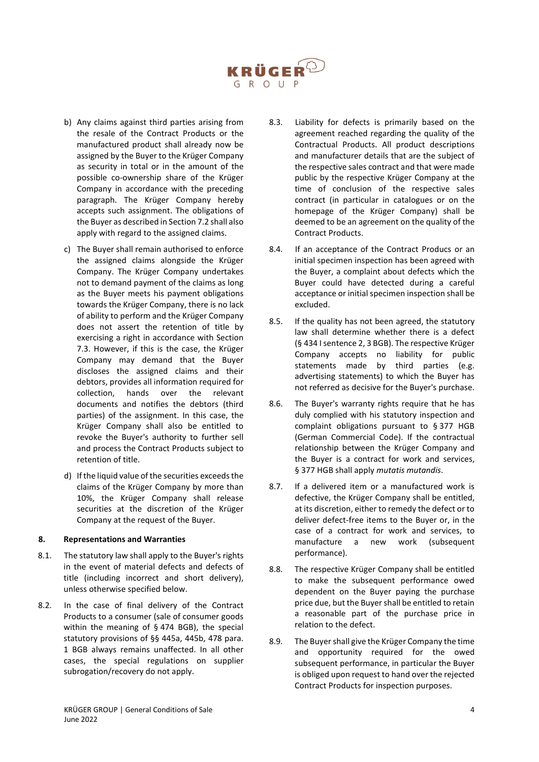

- b) Any claims against third parties arising from the resale of the Contract Products or the manufactured product shall already now be assigned by the Buyer to the Krüger Company as security in total or in the amount of the possible co-ownership share of the Krüger Company in accordance with the preceding paragraph. The Krüger Company hereby accepts such assignment. The obligations of the Buyer as described in Section 7.2 shall also apply with regard to the assigned claims.
- c) The Buyer shall remain authorised to enforce the assigned claims alongside the Krüger Company. The Krüger Company undertakes not to demand payment of the claims as long as the Buyer meets his payment obligations towards the Krüger Company, there is no lack of ability to perform and the Krüger Company does not assert the retention of title by exercising a right in accordance with Section 7.3. However, if this is the case, the Krüger Company may demand that the Buyer discloses the assigned claims and their debtors, provides all information required for collection, hands over the relevant documents and notifies the debtors (third parties) of the assignment. In this case, the Krüger Company shall also be entitled to revoke the Buyer's authority to further sell and process the Contract Products subject to retention of title.
- d) If the liquid value of the securities exceeds the claims of the Krüger Company by more than 10%, the Krüger Company shall release securities at the discretion of the Krüger Company at the request of the Buyer.

## **8. Representations and Warranties**

- 8.1. The statutory law shall apply to the Buyer's rights in the event of material defects and defects of title (including incorrect and short delivery), unless otherwise specified below.
- 8.2. In the case of final delivery of the Contract Products to a consumer (sale of consumer goods within the meaning of § 474 BGB), the special statutory provisions of §§ 445a, 445b, 478 para. 1 BGB always remains unaffected. In all other cases, the special regulations on supplier subrogation/recovery do not apply.
- 8.3. Liability for defects is primarily based on the agreement reached regarding the quality of the Contractual Products. All product descriptions and manufacturer details that are the subject of the respective sales contract and that were made public by the respective Krüger Company at the time of conclusion of the respective sales contract (in particular in catalogues or on the homepage of the Krüger Company) shall be deemed to be an agreement on the quality of the Contract Products.
- 8.4. If an acceptance of the Contract Producs or an initial specimen inspection has been agreed with the Buyer, a complaint about defects which the Buyer could have detected during a careful acceptance or initial specimen inspection shall be excluded.
- 8.5. If the quality has not been agreed, the statutory law shall determine whether there is a defect (§ 434 I sentence 2, 3 BGB). The respective Krüger Company accepts no liability for public statements made by third parties (e.g. advertising statements) to which the Buyer has not referred as decisive for the Buyer's purchase.
- 8.6. The Buyer's warranty rights require that he has duly complied with his statutory inspection and complaint obligations pursuant to § 377 HGB (German Commercial Code). If the contractual relationship between the Krüger Company and the Buyer is a contract for work and services, § 377 HGB shall apply *mutatis mutandis*.
- 8.7. If a delivered item or a manufactured work is defective, the Krüger Company shall be entitled, at its discretion, either to remedy the defect or to deliver defect-free items to the Buyer or, in the case of a contract for work and services, to manufacture a new work (subsequent performance).
- 8.8. The respective Krüger Company shall be entitled to make the subsequent performance owed dependent on the Buyer paying the purchase price due, but the Buyer shall be entitled to retain a reasonable part of the purchase price in relation to the defect.
- 8.9. The Buyer shall give the Krüger Company the time and opportunity required for the owed subsequent performance, in particular the Buyer is obliged upon request to hand over the rejected Contract Products for inspection purposes.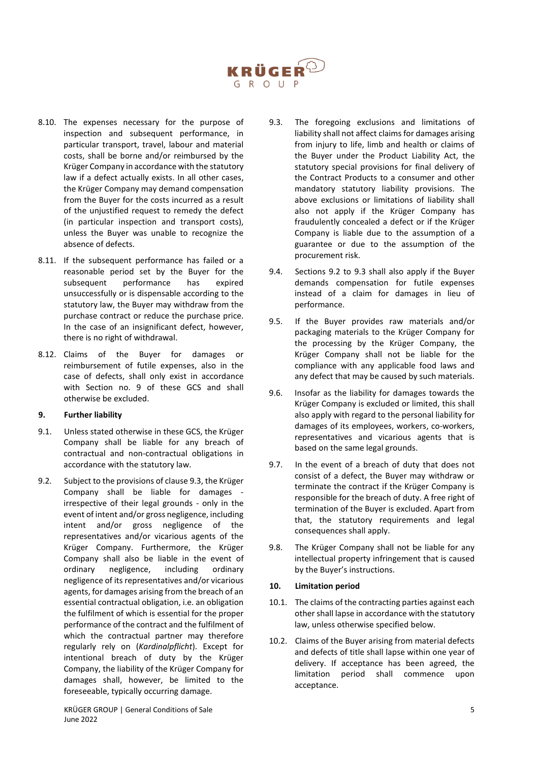

- 8.10. The expenses necessary for the purpose of inspection and subsequent performance, in particular transport, travel, labour and material costs, shall be borne and/or reimbursed by the Krüger Company in accordance with the statutory law if a defect actually exists. In all other cases, the Krüger Company may demand compensation from the Buyer for the costs incurred as a result of the unjustified request to remedy the defect (in particular inspection and transport costs), unless the Buyer was unable to recognize the absence of defects.
- 8.11. If the subsequent performance has failed or a reasonable period set by the Buyer for the subsequent performance has expired unsuccessfully or is dispensable according to the statutory law, the Buyer may withdraw from the purchase contract or reduce the purchase price. In the case of an insignificant defect, however, there is no right of withdrawal.
- 8.12. Claims of the Buyer for damages or reimbursement of futile expenses, also in the case of defects, shall only exist in accordance with Section no. 9 of these GCS and shall otherwise be excluded.

#### **9. Further liability**

- 9.1. Unless stated otherwise in these GCS, the Krüger Company shall be liable for any breach of contractual and non-contractual obligations in accordance with the statutory law.
- 9.2. Subject to the provisions of clause 9.3, the Krüger Company shall be liable for damages irrespective of their legal grounds - only in the event of intent and/or gross negligence, including intent and/or gross negligence of the representatives and/or vicarious agents of the Krüger Company. Furthermore, the Krüger Company shall also be liable in the event of ordinary negligence, including ordinary negligence of its representatives and/or vicarious agents, for damages arising from the breach of an essential contractual obligation, i.e. an obligation the fulfilment of which is essential for the proper performance of the contract and the fulfilment of which the contractual partner may therefore regularly rely on (*Kardinalpflicht*). Except for intentional breach of duty by the Krüger Company, the liability of the Krüger Company for damages shall, however, be limited to the foreseeable, typically occurring damage.
- 9.3. The foregoing exclusions and limitations of liability shall not affect claims for damages arising from injury to life, limb and health or claims of the Buyer under the Product Liability Act, the statutory special provisions for final delivery of the Contract Products to a consumer and other mandatory statutory liability provisions. The above exclusions or limitations of liability shall also not apply if the Krüger Company has fraudulently concealed a defect or if the Krüger Company is liable due to the assumption of a guarantee or due to the assumption of the procurement risk.
- 9.4. Sections 9.2 to 9.3 shall also apply if the Buyer demands compensation for futile expenses instead of a claim for damages in lieu of performance.
- 9.5. If the Buyer provides raw materials and/or packaging materials to the Krüger Company for the processing by the Krüger Company, the Krüger Company shall not be liable for the compliance with any applicable food laws and any defect that may be caused by such materials.
- 9.6. Insofar as the liability for damages towards the Krüger Company is excluded or limited, this shall also apply with regard to the personal liability for damages of its employees, workers, co-workers, representatives and vicarious agents that is based on the same legal grounds.
- 9.7. In the event of a breach of duty that does not consist of a defect, the Buyer may withdraw or terminate the contract if the Krüger Company is responsible for the breach of duty. A free right of termination of the Buyer is excluded. Apart from that, the statutory requirements and legal consequences shall apply.
- 9.8. The Krüger Company shall not be liable for any intellectual property infringement that is caused by the Buyer's instructions.

#### **10. Limitation period**

- 10.1. The claims of the contracting parties against each other shall lapse in accordance with the statutory law, unless otherwise specified below.
- 10.2. Claims of the Buyer arising from material defects and defects of title shall lapse within one year of delivery. If acceptance has been agreed, the limitation period shall commence upon acceptance.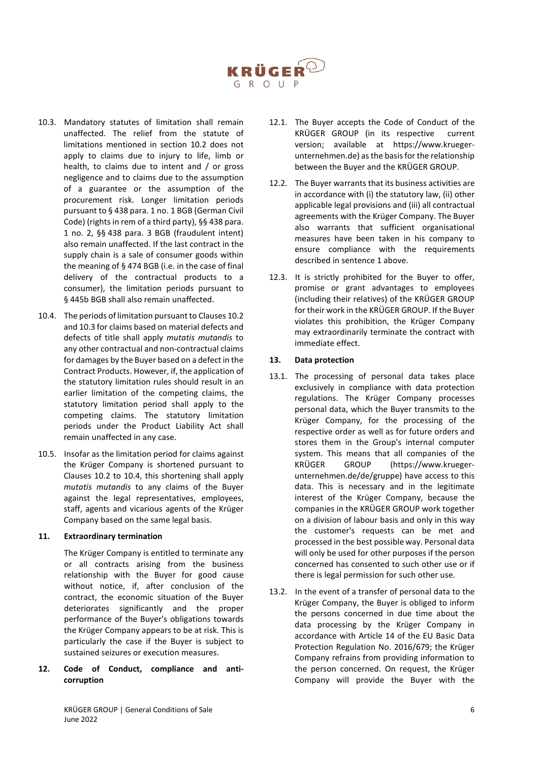

- 10.3. Mandatory statutes of limitation shall remain unaffected. The relief from the statute of limitations mentioned in section 10.2 does not apply to claims due to injury to life, limb or health, to claims due to intent and / or gross negligence and to claims due to the assumption of a guarantee or the assumption of the procurement risk. Longer limitation periods pursuant to § 438 para. 1 no. 1 BGB (German Civil Code) (rights in rem of a third party), §§ 438 para. 1 no. 2, §§ 438 para. 3 BGB (fraudulent intent) also remain unaffected. If the last contract in the supply chain is a sale of consumer goods within the meaning of § 474 BGB (i.e. in the case of final delivery of the contractual products to a consumer), the limitation periods pursuant to § 445b BGB shall also remain unaffected.
- 10.4. The periods of limitation pursuant to Clauses 10.2 and 10.3 for claims based on material defects and defects of title shall apply *mutatis mutandis* to any other contractual and non-contractual claims for damages by the Buyer based on a defect in the Contract Products. However, if, the application of the statutory limitation rules should result in an earlier limitation of the competing claims, the statutory limitation period shall apply to the competing claims. The statutory limitation periods under the Product Liability Act shall remain unaffected in any case.
- 10.5. Insofar as the limitation period for claims against the Krüger Company is shortened pursuant to Clauses 10.2 to 10.4, this shortening shall apply *mutatis mutandis* to any claims of the Buyer against the legal representatives, employees, staff, agents and vicarious agents of the Krüger Company based on the same legal basis.

## **11. Extraordinary termination**

The Krüger Company is entitled to terminate any or all contracts arising from the business relationship with the Buyer for good cause without notice, if, after conclusion of the contract, the economic situation of the Buyer deteriorates significantly and the proper performance of the Buyer's obligations towards the Krüger Company appears to be at risk. This is particularly the case if the Buyer is subject to sustained seizures or execution measures.

**12. Code of Conduct, compliance and anticorruption** 

- 12.1. The Buyer accepts the Code of Conduct of the KRÜGER GROUP (in its respective current version; available at https://www.kruegerunternehmen.de) as the basis for the relationship between the Buyer and the KRÜGER GROUP.
- 12.2. The Buyer warrants that its business activities are in accordance with (i) the statutory law, (ii) other applicable legal provisions and (iii) all contractual agreements with the Krüger Company. The Buyer also warrants that sufficient organisational measures have been taken in his company to ensure compliance with the requirements described in sentence 1 above.
- 12.3. It is strictly prohibited for the Buyer to offer, promise or grant advantages to employees (including their relatives) of the KRÜGER GROUP for their work in the KRÜGER GROUP. If the Buyer violates this prohibition, the Krüger Company may extraordinarily terminate the contract with immediate effect.

#### **13. Data protection**

- 13.1. The processing of personal data takes place exclusively in compliance with data protection regulations. The Krüger Company processes personal data, which the Buyer transmits to the Krüger Company, for the processing of the respective order as well as for future orders and stores them in the Group's internal computer system. This means that all companies of the KRÜGER GROUP (https://www.kruegerunternehmen.de/de/gruppe) have access to this data. This is necessary and in the legitimate interest of the Krüger Company, because the companies in the KRÜGER GROUP work together on a division of labour basis and only in this way the customer's requests can be met and processed in the best possible way. Personal data will only be used for other purposes if the person concerned has consented to such other use or if there is legal permission for such other use.
- 13.2. In the event of a transfer of personal data to the Krüger Company, the Buyer is obliged to inform the persons concerned in due time about the data processing by the Krüger Company in accordance with Article 14 of the EU Basic Data Protection Regulation No. 2016/679; the Krüger Company refrains from providing information to the person concerned. On request, the Krüger Company will provide the Buyer with the